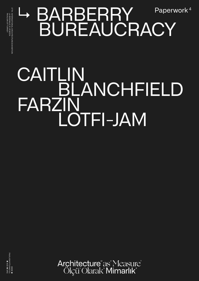## ↳ BARBERRY BUREAUCRACY Paperwork 4

## CAITLIN BLANCHFIELD FARZIN LOTFI-JAM



Architecture<sup>"</sup>as<sup>"</sup>Measure<sup>"</sup><br>Ölçü Olarak Mimarlık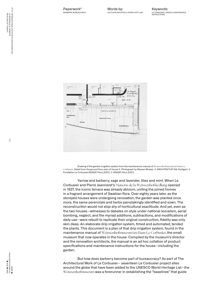Paperwork4 BARBERRY BUREAUCRACY



Drawing of the garden irrigation system from the maintenance manual of Weissenhofmuseum in Haus Le Corbusier. Detail from the ground floor plan of House 3. Photograph by Mareen Wrobel. © ARCHITEKTUR 109, Stuttgart; © Fondation Le Corbusier/ADAGP, Paris [2021]; © ADAGP, Paris [2021].

Yarrow and barberry, sage and lavender, lilies and mint. When Le Corbusier and Pierre Jeanneret's Maisons de la Weissenhofsiedlung opened in 1927, the iconic terrace was already abloom, uniting the joined homes in a fragrant arrangement of Swabian flora. Over eighty years later, as the storeyed houses were undergoing renovation, the garden was planted once more, the same perennials and herbs painstakingly identified and sown. The reconstruction would not stop shy of horticultural exactitude. And yet, even as the two houses—witnesses to debates on style under national socialism, aerial bombing, neglect, and the myriad additions, subtractions, and modifications of daily use—were rebuilt to replicate their original construction, fidelity was only skin deep. An elaborate drip irrigation system, timed and automated, tended the plants. This document is a plan of that drip irrigation system, found in the maintenance manual of Weissenhofmuseum im Haus Le Corbusier, the small museum that now operates in the house. Compiled by the museum's director and the renovation architects, the manual is an ad hoc collation of product specifications and maintenance instructions for the house—including the garden.

But how does barberry become part of bureaucracy? As part of The Architectural Work of Le Corbusier— seventeen Le Corbusier project sites around the globe that have been added to the UNESCO World Heritage List—the Weissenhofmuseum was a forerunner in establishing the "baselines" that guide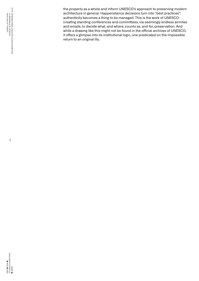the property as a whole and inform UNESCO's approach to preserving modern architecture in general. Happenstance decisions turn into "best practices"; authenticity becomes a thing to be managed. This is the work of UNESCO: creating standing conferences and committees, via seemingly endless airmiles and emails, to decide what, and where, counts as, and for, preservation. And while a drawing like this might not be found in the official archives of UNESCO, it offers a glimpse into its institutional logic, one predicated on the impossible return to an original lily.